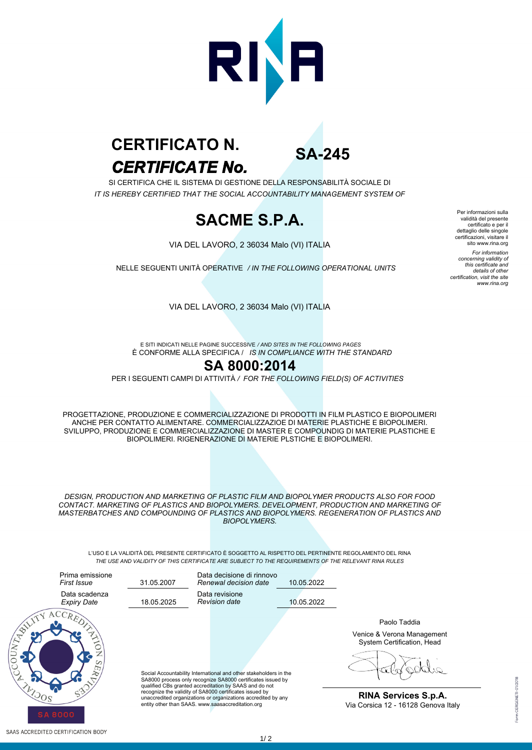

# *CERTIFICATE No.* **CERTIFICATO N.**

**SA-245**

SI CERTIFICA CHE IL SISTEMA DI GESTIONE DELLA RESPONSABILITÀ SOCIALE DI *IT IS HEREBY CERTIFIED THAT THE SOCIAL ACCOUNTABILITY MANAGEMENT SYSTEM OF*

## **SACME S.P.A.**

VIA DEL LAVORO, 2 36034 Malo (VI) ITALIA

NELLE SEGUENTI UNITÀ OPERATIVE */ IN THE FOLLOWING OPERATIONAL UNITS*

Per informazioni sulla validità del presente certificato e per il dettaglio delle singole certificazioni, visitare il sito www.rina.org *For information concerning validity of this certificate and details of other certification, visit the site www.rina.org*

VIA DEL LAVORO, 2 36034 Malo (VI) ITALIA

È CONFORME ALLA SPECIFICA / *IS IN COMPLIANCE WITH THE STANDARD* E SITI INDICATI NELLE PAGINE SUCCESSIVE */ AND SITES IN THE FOLLOWING PAGES*

#### **SA 8000:2014**

PER I SEGUENTI CAMPI DI ATTIVITÀ */ FOR THE FOLLOWING FIELD(S) OF ACTIVITIES*

PROGETTAZIONE, PRODUZIONE E COMMERCIALIZZAZIONE DI PRODOTTI IN FILM PLASTICO E BIOPOLIMERI ANCHE PER CONTATTO ALIMENTARE. COMMERCIALIZZAZIOE DI MATERIE PLASTICHE E BIOPOLIMERI. SVILUPPO, PRODUZIONE E COMMERCIALIZZAZIONE DI MASTER E COMPOUNDIG DI MATERIE PLASTICHE E BIOPOLIMERI. RIGENERAZIONE DI MATERIE PLSTICHE E BIOPOLIMERI.

*DESIGN, PRODUCTION AND MARKETING OF PLASTIC FILM AND BIOPOLYMER PRODUCTS ALSO FOR FOOD CONTACT. MARKETING OF PLASTICS AND BIOPOLYMERS. DEVELOPMENT, PRODUCTION AND MARKETING OF MASTERBATCHES AND COMPOUNDING OF PLASTICS AND BIOPOLYMERS. REGENERATION OF PLASTICS AND BIOPOLYMERS.*

L'USO E LA VALIDITÀ DEL PRESENTE CERTIFICATO È SOGGETTO AL RISPETTO DEL PERTINENTE REGOLAMENTO DEL RINA *THE USE AND VALIDITY OF THIS CERTIFICATE ARE SUBJECT TO THE REQUIREMENTS OF THE RELEVANT RINA RULES*



**RINA Services S.p.A.** Via Corsica 12 - 16128 Genova Italy